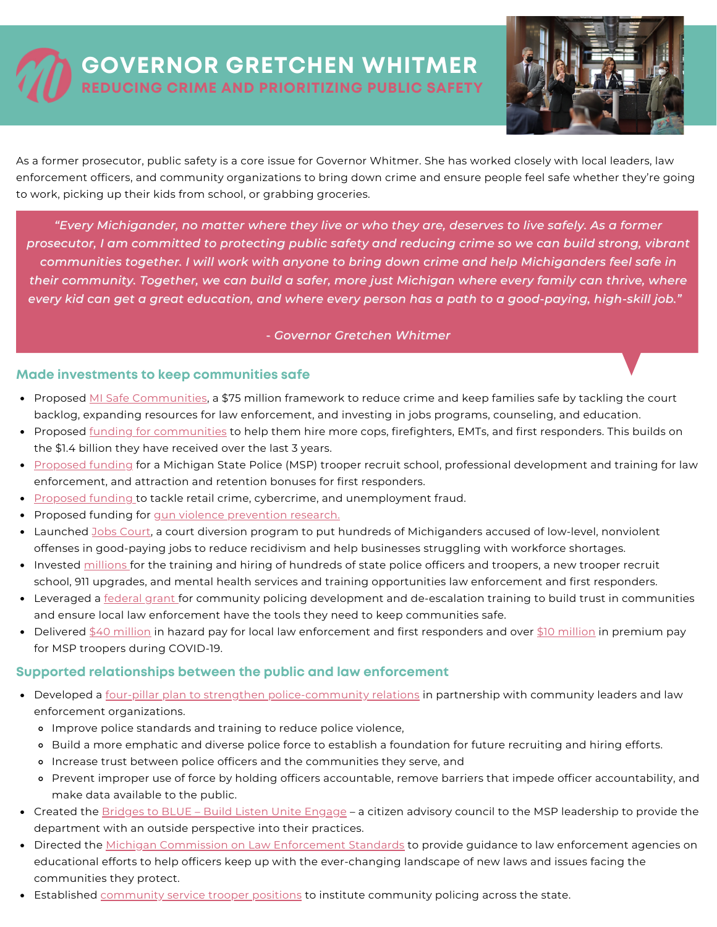## **GOVERNOR GRETCHEN WHITMER REDUCING CRIME AND PRIORITIZING PUBLIC SAFETY**



As a former prosecutor, public safety is a core issue for Governor Whitmer. She has worked closely with local leaders, law enforcement officers, and community organizations to bring down crime and ensure people feel safe whether they're going to work, picking up their kids from school, or grabbing groceries.

"Every Michigander, no matter where they live or who they are, deserves to live safely. As a former *prosecutor, I am committed to protecting public safety and reducing crime so we can build strong, vibrant communities together. I will work with anyone to bring down crime and help Michiganders feel safe in their community. Together, we can build a safer, more just Michigan where every family can thrive, where* every kid can get a great education, and where every person has a path to a good-paying, high-skill job."

## *- Governor Gretchen Whitmer*

## **Made investments to keep communities safe**

- Proposed MI Safe [Communities,](https://www.michigan.gov/whitmer/0,9309,7-387-90499_90640-566326--,00.html) a \$75 million framework to reduce crime and keep families safe by tackling the court backlog, expanding resources for law enforcement, and investing in jobs programs, counseling, and education.
- Proposed <u>funding for [communities](https://www.michigan.gov/budget/-/media/Project/Websites/budget/Fiscal/Executive-Budget/Current-Exec-Rec/FY23-Executive-Budget-Book.pdf?rev=77baa8e2690a4f5f8fedeed051f82f44&hash=0258BE9AA95787048F244219ED2E8E72)</u> to help them hire more cops, firefighters, EMTs, and first responders. This builds on the \$1.4 billion they have received over the last 3 years.
- [Proposed](https://www.michigan.gov/budget/-/media/Project/Websites/budget/Fiscal/Executive-Budget/Current-Exec-Rec/FY23-Executive-Budget-Book.pdf?rev=77baa8e2690a4f5f8fedeed051f82f44&hash=0258BE9AA95787048F244219ED2E8E72) funding for a Michigan State Police (MSP) trooper recruit school, professional development and training for law enforcement, and attraction and retention bonuses for first responders.
- **[Proposed](https://www.michigan.gov/budget/-/media/Project/Websites/budget/Fiscal/Executive-Budget/Current-Exec-Rec/FY23-Executive-Budget-Book.pdf?rev=77baa8e2690a4f5f8fedeed051f82f44&hash=0258BE9AA95787048F244219ED2E8E72) funding to tackle retail crime, cybercrime, and unemployment fraud.**
- Proposed funding for qun violence [prevention](https://www.michigan.gov/budget/-/media/Project/Websites/budget/Fiscal/Executive-Budget/Current-Exec-Rec/FY23-General-Omnibus.pdf?rev=74f81fb47ef94cc8b4f8eb8b808d0109&hash=4543ED81F872CC754DA8FFF5DCAC9C41) research.
- Launched Jobs [Court,](https://www.michigan.gov/ag/0,4534,7-359-92297_47203-571826--,00.html) a court diversion program to put hundreds of Michiganders accused of low-level, nonviolent offenses in good-paying jobs to reduce recidivism and help businesses struggling with workforce shortages.
- Invested [millions](https://www.michigan.gov/budget/0,9357,7-379-88613_88626---,00.html) for the training and hiring of hundreds of state police officers and troopers, a new trooper recruit school, 911 upgrades, and mental health services and training opportunities law enforcement and first responders.
- Leveraged [a](https://www.michigan.gov/whitmer/0,9309,7-387-90499_90640-570273--,00.html) [federal](https://www.michigan.gov/whitmer/0,9309,7-387-90499_90640-570273--,00.html) grant for community policing development and de-escalation training to build trust in communities and ensure local law enforcement have the tools they need to keep communities safe.
- Delivered \$40 [million](https://www.michigan.gov/coronavirus/0,9753,7-406-98158-523465--,00.html) in hazard pay for local law enforcement and first responders and over \$10 million in premium pay for MSP troopers during COVID-19.

## **Supported relationships between the public and law enforcement**

- Developed [a](https://www.michigan.gov/whitmer/0,9309,7-387-90499_90640-533217--,00.html) four-pillar plan to strengthen [police-community](https://www.michigan.gov/whitmer/0,9309,7-387-90499_90640-533217--,00.html) relations in partnership with community leaders and law enforcement organizations.
	- o Improve police standards and training to reduce police violence,
	- o Build a more emphatic and diverse police force to establish a foundation for future recruiting and hiring efforts.
	- Increase trust between police officers and the communities they serve, and
	- Prevent improper use of force by holding officers accountable, remove barriers that impede officer accountability, and make data available to the public.
- Created the **Bridges to BLUE** Build Listen Unite [Engage](https://www.michigan.gov/msp/0,4643,7-123-1586_101168-536695--,00.html) a citizen advisory council to the MSP leadership to provide the department with an outside perspective into their practices.
- Directed the Michigan Commission on Law [Enforcement](https://www.michigan.gov/whitmer/0,9309,7-387-90499_90640-531785--,00.html) Standards to provide guidance to law enforcement agencies on educational efforts to help officers keep up with the ever-changing landscape of new laws and issues facing the communities they protect.
- **Established** [community](https://www.michigan.gov/msp/0,4643,7-123--531352--,00.html) service trooper positions to institute community policing across the state.